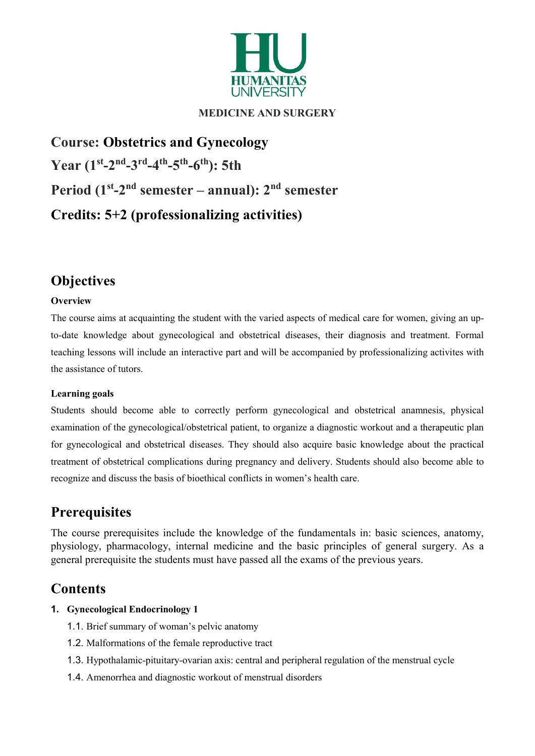

# MEDICINE AND SURGERY

Course: Obstetrics and Gynecology Year  $(1^{st} - 2^{nd} - 3^{rd} - 4^{th} - 5^{th} - 6^{th})$ : 5th Period  $(1<sup>st</sup>-2<sup>nd</sup>$  semester – annual):  $2<sup>nd</sup>$  semester Credits: 5+2 (professionalizing activities)

# **Objectives**

#### **Overview**

The course aims at acquainting the student with the varied aspects of medical care for women, giving an upto-date knowledge about gynecological and obstetrical diseases, their diagnosis and treatment. Formal teaching lessons will include an interactive part and will be accompanied by professionalizing activites with the assistance of tutors.

#### Learning goals

Students should become able to correctly perform gynecological and obstetrical anamnesis, physical examination of the gynecological/obstetrical patient, to organize a diagnostic workout and a therapeutic plan for gynecological and obstetrical diseases. They should also acquire basic knowledge about the practical treatment of obstetrical complications during pregnancy and delivery. Students should also become able to recognize and discuss the basis of bioethical conflicts in women's health care.

# **Prerequisites**

The course prerequisites include the knowledge of the fundamentals in: basic sciences, anatomy, physiology, pharmacology, internal medicine and the basic principles of general surgery. As a general prerequisite the students must have passed all the exams of the previous years.

# Contents

#### 1. Gynecological Endocrinology 1

- 1.1. Brief summary of woman's pelvic anatomy
- 1.2. Malformations of the female reproductive tract
- 1.3. Hypothalamic-pituitary-ovarian axis: central and peripheral regulation of the menstrual cycle
- 1.4. Amenorrhea and diagnostic workout of menstrual disorders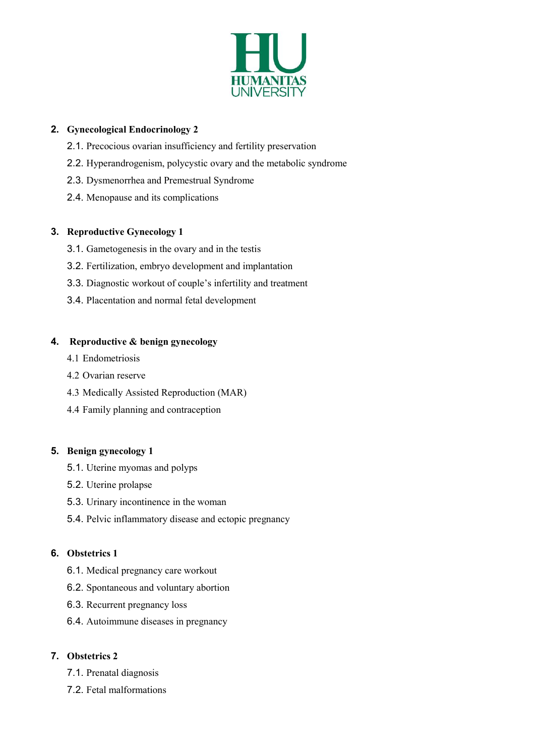

### 2. Gynecological Endocrinology 2

- 2.1. Precocious ovarian insufficiency and fertility preservation
- 2.2. Hyperandrogenism, polycystic ovary and the metabolic syndrome
- 2.3. Dysmenorrhea and Premestrual Syndrome
- 2.4. Menopause and its complications

### 3. Reproductive Gynecology 1

- 3.1. Gametogenesis in the ovary and in the testis
- 3.2. Fertilization, embryo development and implantation
- 3.3. Diagnostic workout of couple's infertility and treatment
- 3.4. Placentation and normal fetal development

### 4. Reproductive & benign gynecology

- 4.1 Endometriosis
- 4.2 Ovarian reserve
- 4.3 Medically Assisted Reproduction (MAR)
- 4.4 Family planning and contraception

# 5. Benign gynecology 1

- 5.1. Uterine myomas and polyps
- 5.2. Uterine prolapse
- 5.3. Urinary incontinence in the woman
- 5.4. Pelvic inflammatory disease and ectopic pregnancy

# 6. Obstetrics 1

- 6.1. Medical pregnancy care workout
- 6.2. Spontaneous and voluntary abortion
- 6.3. Recurrent pregnancy loss
- 6.4. Autoimmune diseases in pregnancy

# 7. Obstetrics 2

- 7.1. Prenatal diagnosis
- 7.2. Fetal malformations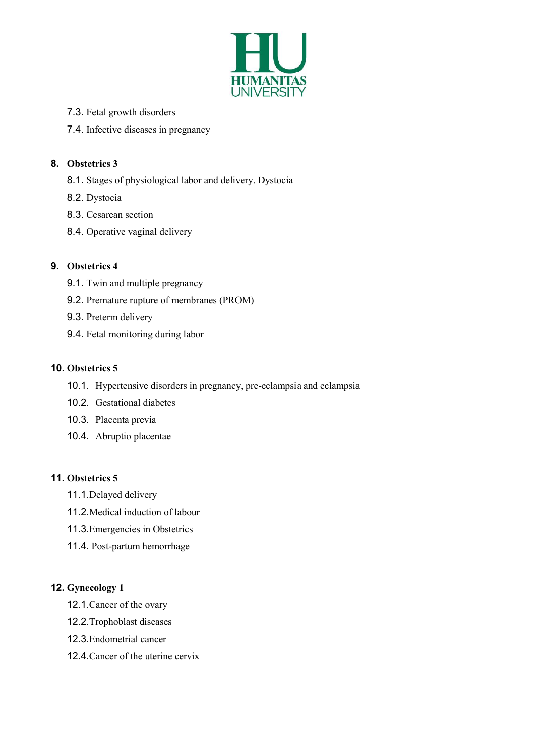

- 7.3. Fetal growth disorders
- 7.4. Infective diseases in pregnancy

### 8. Obstetrics 3

- 8.1. Stages of physiological labor and delivery. Dystocia
- 8.2. Dystocia
- 8.3. Cesarean section
- 8.4. Operative vaginal delivery

### 9. Obstetrics 4

- 9.1. Twin and multiple pregnancy
- 9.2. Premature rupture of membranes (PROM)
- 9.3. Preterm delivery
- 9.4. Fetal monitoring during labor

#### 10. Obstetrics 5

- 10.1. Hypertensive disorders in pregnancy, pre-eclampsia and eclampsia
- 10.2. Gestational diabetes
- 10.3. Placenta previa
- 10.4. Abruptio placentae

#### 11. Obstetrics 5

- 11.1. Delayed delivery
- 11.2. Medical induction of labour
- 11.3. Emergencies in Obstetrics
- 11.4. Post-partum hemorrhage

# 12. Gynecology 1

- 12.1. Cancer of the ovary
- 12.2. Trophoblast diseases
- 12.3. Endometrial cancer
- 12.4. Cancer of the uterine cervix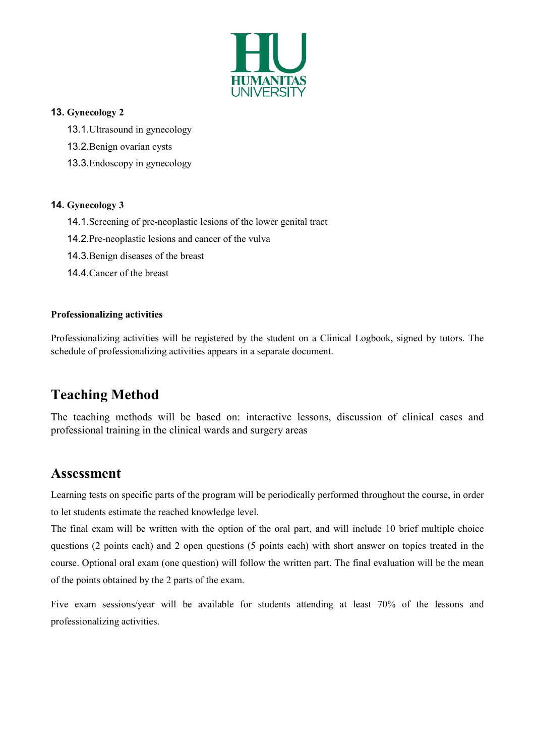

#### 13. Gynecology 2

- 13.1. Ultrasound in gynecology
- 13.2. Benign ovarian cysts
- 13.3. Endoscopy in gynecology

#### 14. Gynecology 3

- 14.1. Screening of pre-neoplastic lesions of the lower genital tract
- 14.2. Pre-neoplastic lesions and cancer of the vulva
- 14.3. Benign diseases of the breast
- 14.4. Cancer of the breast

#### Professionalizing activities

Professionalizing activities will be registered by the student on a Clinical Logbook, signed by tutors. The schedule of professionalizing activities appears in a separate document.

# Teaching Method

The teaching methods will be based on: interactive lessons, discussion of clinical cases and professional training in the clinical wards and surgery areas

# Assessment

Learning tests on specific parts of the program will be periodically performed throughout the course, in order to let students estimate the reached knowledge level.

The final exam will be written with the option of the oral part, and will include 10 brief multiple choice questions (2 points each) and 2 open questions (5 points each) with short answer on topics treated in the course. Optional oral exam (one question) will follow the written part. The final evaluation will be the mean of the points obtained by the 2 parts of the exam.

Five exam sessions/year will be available for students attending at least 70% of the lessons and professionalizing activities.